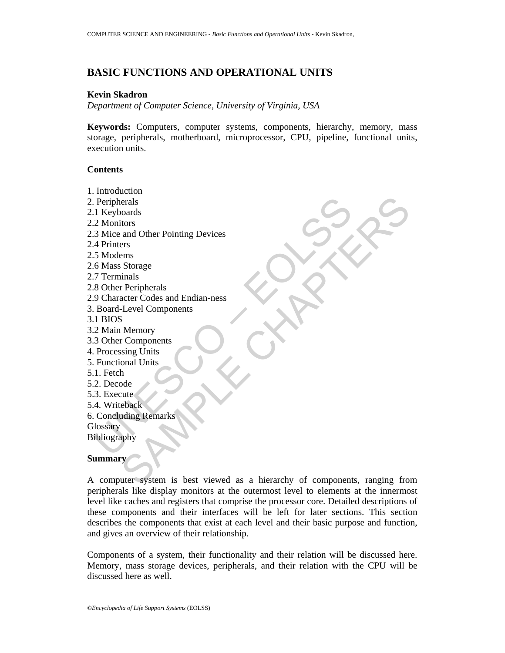# **BASIC FUNCTIONS AND OPERATIONAL UNITS**

### **Kevin Skadron**

*Department of Computer Science, University of Virginia, USA* 

**Keywords:** Computers, computer systems, components, hierarchy, memory, mass storage, peripherals, motherboard, microprocessor, CPU, pipeline, functional units, execution units.

#### **Contents**

Peripherals<br>
1 Keyboards<br>
2 Moitors<br>
3 Mice and Other Pointing Devices<br>
4 Printers<br>
5 Modems<br>
4 Printers<br>
5 Modems<br>
4 Printers<br>
5 Modems<br>
8 Other Peripherals<br>
8 Other Peripherals<br>
8 Other Peripherals<br>
8 Other Peripherals<br> erals<br>
condata<br>
tions<br>
and Other Pointing Devices<br>
Shorage<br>
Shorage<br>
Shorage<br>
Shorage<br>
Accer Codes and Endian-ness<br>
Level Components<br>
Nemory<br>
Components<br>
Ade<br>
the chack<br>
that<br>
the chack<br>
that<br>
why<br>
y phy<br>
y<br>
why<br>
y<br>
where 1. Introduction 2. Peripherals 2.1 Keyboards 2.2 Monitors 2.3 Mice and Other Pointing Devices 2.4 Printers 2.5 Modems 2.6 Mass Storage 2.7 Terminals 2.8 Other Peripherals 2.9 Character Codes and Endian-ness 3. Board-Level Components 3.1 BIOS 3.2 Main Memory 3.3 Other Components 4. Processing Units 5. Functional Units 5.1. Fetch 5.2. Decode 5.3. Execute 5.4. Writeback 6. Concluding Remarks **Glossary Bibliography** 

### **Summary**

A computer system is best viewed as a hierarchy of components, ranging from peripherals like display monitors at the outermost level to elements at the innermost level like caches and registers that comprise the processor core. Detailed descriptions of these components and their interfaces will be left for later sections. This section describes the components that exist at each level and their basic purpose and function, and gives an overview of their relationship.

Components of a system, their functionality and their relation will be discussed here. Memory, mass storage devices, peripherals, and their relation with the CPU will be discussed here as well.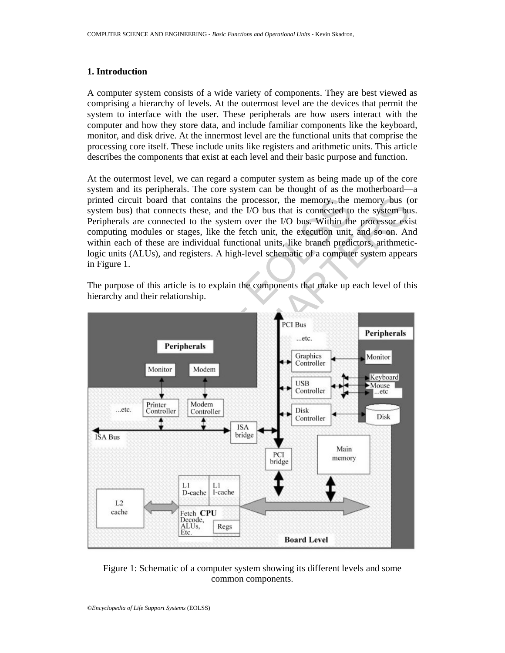#### **1. Introduction**

A computer system consists of a wide variety of components. They are best viewed as comprising a hierarchy of levels. At the outermost level are the devices that permit the system to interface with the user. These peripherals are how users interact with the computer and how they store data, and include familiar components like the keyboard, monitor, and disk drive. At the innermost level are the functional units that comprise the processing core itself. These include units like registers and arithmetic units. This article describes the components that exist at each level and their basic purpose and function.

At the outermost level, we can regard a computer system as being made up of the core system and its peripherals. The core system can be thought of as the motherboard—a printed circuit board that contains the processor, the memory, the memory bus (or system bus) that connects these, and the I/O bus that is connected to the system bus. Peripherals are connected to the system over the I/O bus. Within the processor exist computing modules or stages, like the fetch unit, the execution unit, and so on. And within each of these are individual functional units, like branch predictors, arithmeticlogic units (ALUs), and registers. A high-level schematic of a computer system appears in Figure 1.

The purpose of this article is to explain the components that make up each level of this hierarchy and their relationship.



Figure 1: Schematic of a computer system showing its different levels and some common components.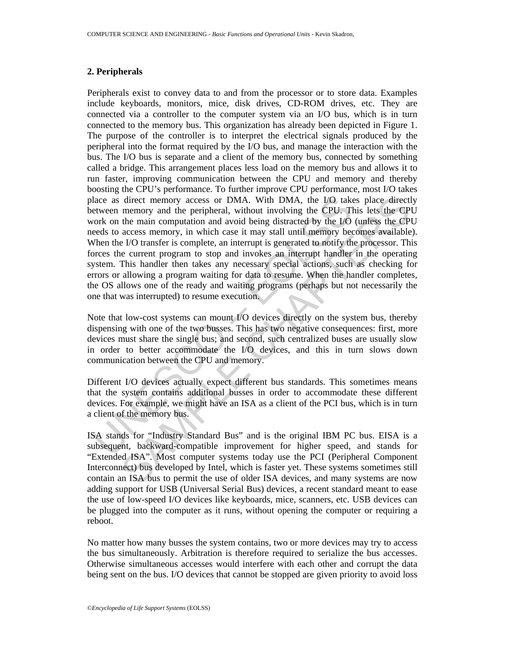#### **2. Peripherals**

lace as direct memory access or DMA. With DMA, the I/O take<br>tween memory and the peripheral, without involving the CPU. Tl<br>ork on the main computation and avoid being distracted by the I/O<br>clocks to access memory, in which direct memory access or DMA. With DMA, the L/O takes place direct<br>memory and the peripheral, without involving the CPU. This lets the CP<br>the main computation and avoid being distracted by the L/O (unless the CP<br>access memo Peripherals exist to convey data to and from the processor or to store data. Examples include keyboards, monitors, mice, disk drives, CD-ROM drives, etc. They are connected via a controller to the computer system via an I/O bus, which is in turn connected to the memory bus. This organization has already been depicted in Figure 1. The purpose of the controller is to interpret the electrical signals produced by the peripheral into the format required by the I/O bus, and manage the interaction with the bus. The I/O bus is separate and a client of the memory bus, connected by something called a bridge. This arrangement places less load on the memory bus and allows it to run faster, improving communication between the CPU and memory and thereby boosting the CPU's performance. To further improve CPU performance, most I/O takes place as direct memory access or DMA. With DMA, the I/O takes place directly between memory and the peripheral, without involving the CPU. This lets the CPU work on the main computation and avoid being distracted by the I/O (unless the CPU needs to access memory, in which case it may stall until memory becomes available). When the I/O transfer is complete, an interrupt is generated to notify the processor. This forces the current program to stop and invokes an interrupt handler in the operating system. This handler then takes any necessary special actions, such as checking for errors or allowing a program waiting for data to resume. When the handler completes, the OS allows one of the ready and waiting programs (perhaps but not necessarily the one that was interrupted) to resume execution.

Note that low-cost systems can mount I/O devices directly on the system bus, thereby dispensing with one of the two busses. This has two negative consequences: first, more devices must share the single bus; and second, such centralized buses are usually slow in order to better accommodate the I/O devices, and this in turn slows down communication between the CPU and memory.

Different I/O devices actually expect different bus standards. This sometimes means that the system contains additional busses in order to accommodate these different devices. For example, we might have an ISA as a client of the PCI bus, which is in turn a client of the memory bus.

ISA stands for "Industry Standard Bus" and is the original IBM PC bus. EISA is a subsequent, backward-compatible improvement for higher speed, and stands for "Extended ISA". Most computer systems today use the PCI (Peripheral Component Interconnect) bus developed by Intel, which is faster yet. These systems sometimes still contain an ISA bus to permit the use of older ISA devices, and many systems are now adding support for USB (Universal Serial Bus) devices, a recent standard meant to ease the use of low-speed I/O devices like keyboards, mice, scanners, etc. USB devices can be plugged into the computer as it runs, without opening the computer or requiring a reboot.

No matter how many busses the system contains, two or more devices may try to access the bus simultaneously. Arbitration is therefore required to serialize the bus accesses. Otherwise simultaneous accesses would interfere with each other and corrupt the data being sent on the bus. I/O devices that cannot be stopped are given priority to avoid loss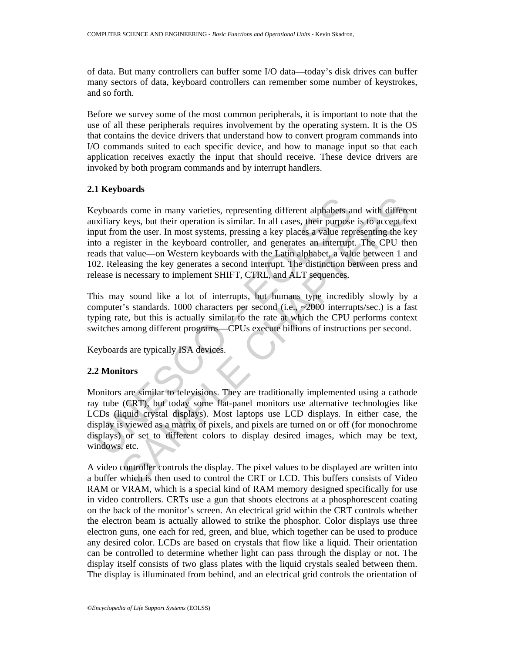of data. But many controllers can buffer some I/O data—today's disk drives can buffer many sectors of data, keyboard controllers can remember some number of keystrokes, and so forth.

Before we survey some of the most common peripherals, it is important to note that the use of all these peripherals requires involvement by the operating system. It is the OS that contains the device drivers that understand how to convert program commands into I/O commands suited to each specific device, and how to manage input so that each application receives exactly the input that should receive. These device drivers are invoked by both program commands and by interrupt handlers.

### **2.1 Keyboards**

eyboards come in many varieties, representing different alphabets a<br>uxiliary keys, but their operation is similar. In all cases, their purpose<br>put from the user. In most systems, pressing a key places a value rep<br>to a regi ds come in many varieties, representing different alphabets and with different keys, but their operation is similar. In all cases, their purpose is to accept text that the keyboard controller, and generates an interrupt. T Keyboards come in many varieties, representing different alphabets and with different auxiliary keys, but their operation is similar. In all cases, their purpose is to accept text input from the user. In most systems, pressing a key places a value representing the key into a register in the keyboard controller, and generates an interrupt. The CPU then reads that value—on Western keyboards with the Latin alphabet, a value between 1 and 102. Releasing the key generates a second interrupt. The distinction between press and release is necessary to implement SHIFT, CTRL, and ALT sequences.

This may sound like a lot of interrupts, but humans type incredibly slowly by a computer's standards. 1000 characters per second (i.e., ~2000 interrupts/sec.) is a fast typing rate, but this is actually similar to the rate at which the CPU performs context switches among different programs—CPUs execute billions of instructions per second.

Keyboards are typically ISA devices.

## **2.2 Monitors**

Monitors are similar to televisions. They are traditionally implemented using a cathode ray tube (CRT), but today some flat-panel monitors use alternative technologies like LCDs (liquid crystal displays). Most laptops use LCD displays. In either case, the display is viewed as a matrix of pixels, and pixels are turned on or off (for monochrome displays) or set to different colors to display desired images, which may be text, windows, etc.

A video controller controls the display. The pixel values to be displayed are written into a buffer which is then used to control the CRT or LCD. This buffers consists of Video RAM or VRAM, which is a special kind of RAM memory designed specifically for use in video controllers. CRTs use a gun that shoots electrons at a phosphorescent coating on the back of the monitor's screen. An electrical grid within the CRT controls whether the electron beam is actually allowed to strike the phosphor. Color displays use three electron guns, one each for red, green, and blue, which together can be used to produce any desired color. LCDs are based on crystals that flow like a liquid. Their orientation can be controlled to determine whether light can pass through the display or not. The display itself consists of two glass plates with the liquid crystals sealed between them. The display is illuminated from behind, and an electrical grid controls the orientation of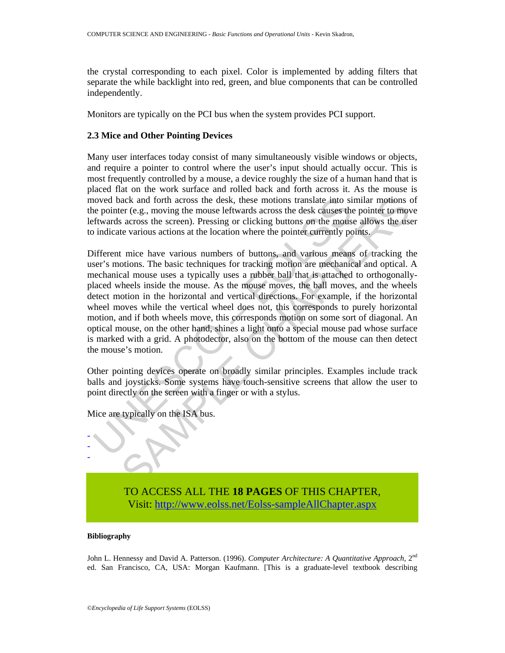the crystal corresponding to each pixel. Color is implemented by adding filters that separate the while backlight into red, green, and blue components that can be controlled independently.

Monitors are typically on the PCI bus when the system provides PCI support.

## **2.3 Mice and Other Pointing Devices**

Many user interfaces today consist of many simultaneously visible windows or objects, and require a pointer to control where the user's input should actually occur. This is most frequently controlled by a mouse, a device roughly the size of a human hand that is placed flat on the work surface and rolled back and forth across it. As the mouse is moved back and forth across the desk, these motions translate into similar motions of the pointer (e.g., moving the mouse leftwards across the desk causes the pointer to move leftwards across the screen). Pressing or clicking buttons on the mouse allows the user to indicate various actions at the location where the pointer currently points.

noved back and forth across the desk, these motions translate into si<br>noved back and forth across the desk, these motions translate into si<br>frivards across the screen). Pressing or clicking buttons on the monus<br>indicate va ack and forth across the desk, these motions translate into similar motions case<br>cer (e.g., moving the monse leftwards across the desk causes the pointer to move<br>a caross the series. The monse leftwards across the series o Different mice have various numbers of buttons, and various means of tracking the user's motions. The basic techniques for tracking motion are mechanical and optical. A mechanical mouse uses a typically uses a rubber ball that is attached to orthogonallyplaced wheels inside the mouse. As the mouse moves, the ball moves, and the wheels detect motion in the horizontal and vertical directions. For example, if the horizontal wheel moves while the vertical wheel does not, this corresponds to purely horizontal motion, and if both wheels move, this corresponds motion on some sort of diagonal. An optical mouse, on the other hand, shines a light onto a special mouse pad whose surface is marked with a grid. A photodector, also on the bottom of the mouse can then detect the mouse's motion.

Other pointing devices operate on broadly similar principles. Examples include track balls and joysticks. Some systems have touch-sensitive screens that allow the user to point directly on the screen with a finger or with a stylus.

Mice are typically on the ISA bus.



### **Bibliography**

- - -

John L. Hennessy and David A. Patterson. (1996). *Computer Architecture: A Quantitative Approach*, 2nd ed. San Francisco, CA, USA: Morgan Kaufmann. [This is a graduate-level textbook describing